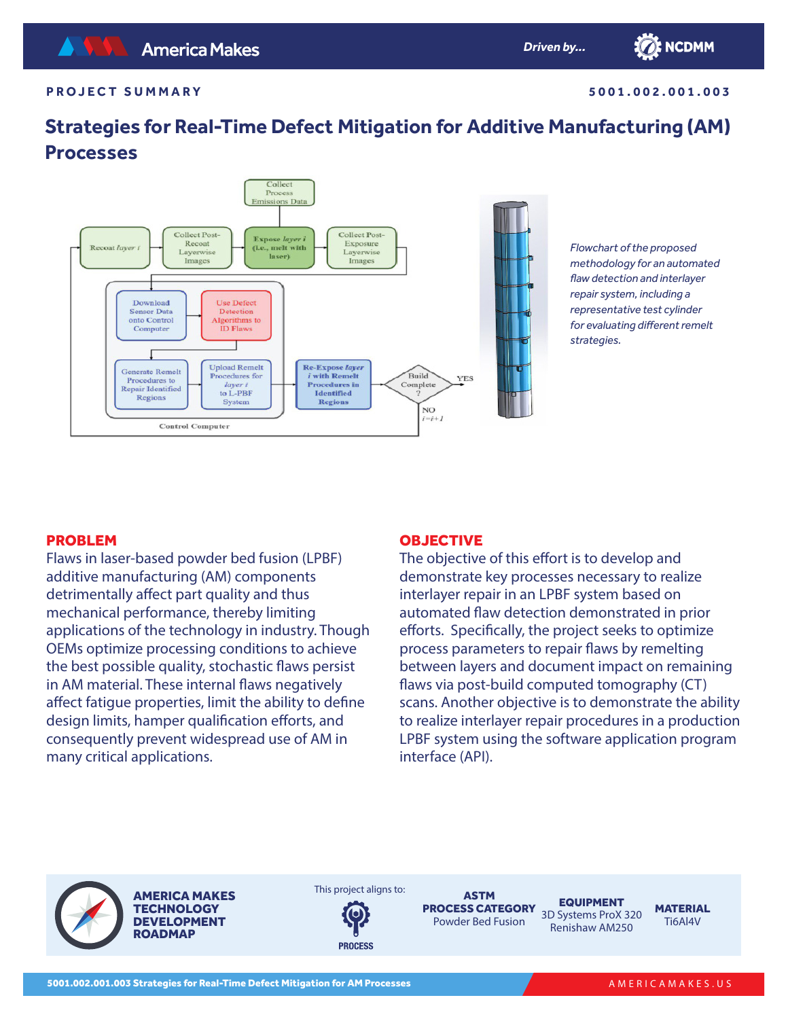**5001.002.001.003**

**TO: NCDMM** 

# **Strategies for Real-Time Defect Mitigation for Additive Manufacturing (AM) Processes**



*Flowchart of the proposed methodology for an automated flaw detection and interlayer repair system, including a representative test cylinder for evaluating different remelt strategies.*

# PROBLEM

Flaws in laser-based powder bed fusion (LPBF) additive manufacturing (AM) components detrimentally affect part quality and thus mechanical performance, thereby limiting applications of the technology in industry. Though OEMs optimize processing conditions to achieve the best possible quality, stochastic flaws persist in AM material. These internal flaws negatively affect fatigue properties, limit the ability to define design limits, hamper qualification efforts, and consequently prevent widespread use of AM in many critical applications.

### **OBJECTIVE**

The objective of this effort is to develop and demonstrate key processes necessary to realize interlayer repair in an LPBF system based on automated flaw detection demonstrated in prior efforts. Specifically, the project seeks to optimize process parameters to repair flaws by remelting between layers and document impact on remaining flaws via post-build computed tomography (CT) scans. Another objective is to demonstrate the ability to realize interlayer repair procedures in a production LPBF system using the software application program interface (API).

AMERICA MAKES **TECHNOLOGY** DEVELOPMENT **ROADMAP** 

This project aligns to:



ASTM **PROCESS CATEGORY EQUIPMENT** Powder Bed Fusion

3D Systems ProX 320 Renishaw AM250

**MATERIAL** Ti6Al4V